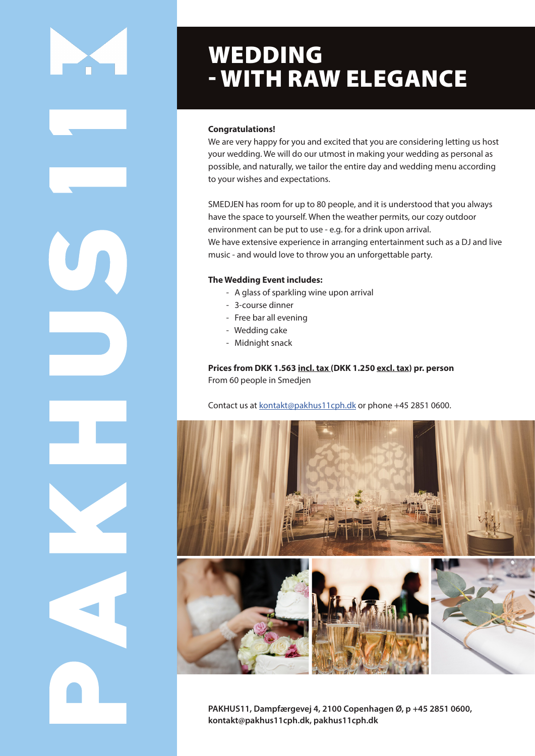

U

# WEDDING - WITH RAW ELEGANCE

# **Congratulations!**

We are very happy for you and excited that you are considering letting us host your wedding. We will do our utmost in making your wedding as personal as possible, and naturally, we tailor the entire day and wedding menu according to your wishes and expectations.

SMEDJEN has room for up to 80 people, and it is understood that you always have the space to yourself. When the weather permits, our cozy outdoor environment can be put to use - e.g. for a drink upon arrival. We have extensive experience in arranging entertainment such as a DJ and live music - and would love to throw you an unforgettable party.

# **The Wedding Event includes:**

- A glass of sparkling wine upon arrival
- 3-course dinner
- Free bar all evening
- Wedding cake
- Midnight snack

**Prices from DKK 1.563 incl. tax (DKK 1.250 excl. tax) pr. person**  From 60 people in Smedjen

Contact us at kontakt@pakhus11cph.dk or phone +45 2851 0600.



**PAKHUS11, Dampfærgevej 4, 2100 Copenhagen Ø, p +45 2851 0600, kontakt@pakhus11cph.dk, pakhus11cph.dk**